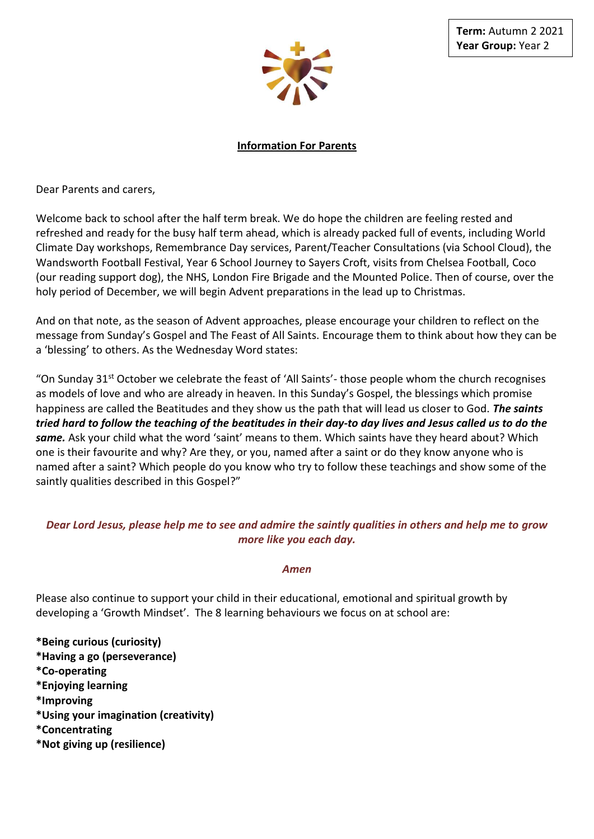

**Information For Parents**

Dear Parents and carers,

Welcome back to school after the half term break. We do hope the children are feeling rested and refreshed and ready for the busy half term ahead, which is already packed full of events, including World Climate Day workshops, Remembrance Day services, Parent/Teacher Consultations (via School Cloud), the Wandsworth Football Festival, Year 6 School Journey to Sayers Croft, visits from Chelsea Football, Coco (our reading support dog), the NHS, London Fire Brigade and the Mounted Police. Then of course, over the holy period of December, we will begin Advent preparations in the lead up to Christmas.

And on that note, as the season of Advent approaches, please encourage your children to reflect on the message from Sunday's Gospel and The Feast of All Saints. Encourage them to think about how they can be a 'blessing' to others. As the Wednesday Word states:

"On Sunday  $31<sup>st</sup>$  October we celebrate the feast of 'All Saints'- those people whom the church recognises as models of love and who are already in heaven. In this Sunday's Gospel, the blessings which promise happiness are called the Beatitudes and they show us the path that will lead us closer to God. *The saints tried hard to follow the teaching of the beatitudes in their day-to day lives and Jesus called us to do the same.* Ask your child what the word 'saint' means to them. Which saints have they heard about? Which one is their favourite and why? Are they, or you, named after a saint or do they know anyone who is named after a saint? Which people do you know who try to follow these teachings and show some of the saintly qualities described in this Gospel?"

## *Dear Lord Jesus, please help me to see and admire the saintly qualities in others and help me to grow more like you each day.*

## *Amen*

Please also continue to support your child in their educational, emotional and spiritual growth by developing a 'Growth Mindset'. The 8 learning behaviours we focus on at school are:

**\*Being curious (curiosity) \*Having a go (perseverance) \*Co-operating \*Enjoying learning \*Improving \*Using your imagination (creativity) \*Concentrating \*Not giving up (resilience)**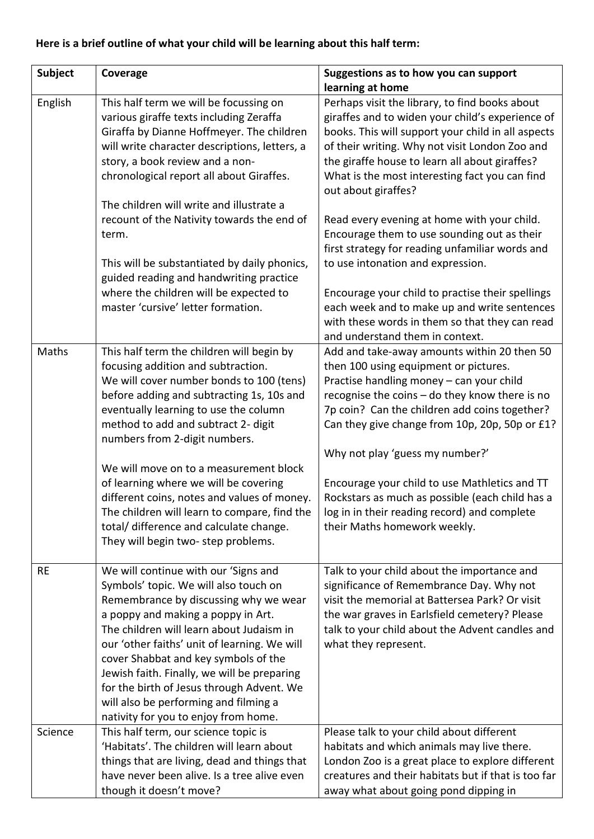## **Here is a brief outline of what your child will be learning about this half term:**

| Subject   | Coverage                                                                                                                                                                                                                                                                                                                                                                                                                                                                                                                                                     | Suggestions as to how you can support                                                                                                                                                                                                                                                                                                                                                                                                                                                                                                           |
|-----------|--------------------------------------------------------------------------------------------------------------------------------------------------------------------------------------------------------------------------------------------------------------------------------------------------------------------------------------------------------------------------------------------------------------------------------------------------------------------------------------------------------------------------------------------------------------|-------------------------------------------------------------------------------------------------------------------------------------------------------------------------------------------------------------------------------------------------------------------------------------------------------------------------------------------------------------------------------------------------------------------------------------------------------------------------------------------------------------------------------------------------|
| English   | This half term we will be focussing on<br>various giraffe texts including Zeraffa<br>Giraffa by Dianne Hoffmeyer. The children<br>will write character descriptions, letters, a<br>story, a book review and a non-<br>chronological report all about Giraffes.<br>The children will write and illustrate a<br>recount of the Nativity towards the end of<br>term.<br>This will be substantiated by daily phonics,                                                                                                                                            | learning at home<br>Perhaps visit the library, to find books about<br>giraffes and to widen your child's experience of<br>books. This will support your child in all aspects<br>of their writing. Why not visit London Zoo and<br>the giraffe house to learn all about giraffes?<br>What is the most interesting fact you can find<br>out about giraffes?<br>Read every evening at home with your child.<br>Encourage them to use sounding out as their<br>first strategy for reading unfamiliar words and<br>to use intonation and expression. |
|           | guided reading and handwriting practice<br>where the children will be expected to<br>master 'cursive' letter formation.                                                                                                                                                                                                                                                                                                                                                                                                                                      | Encourage your child to practise their spellings<br>each week and to make up and write sentences<br>with these words in them so that they can read<br>and understand them in context.                                                                                                                                                                                                                                                                                                                                                           |
| Maths     | This half term the children will begin by<br>focusing addition and subtraction.<br>We will cover number bonds to 100 (tens)<br>before adding and subtracting 1s, 10s and<br>eventually learning to use the column<br>method to add and subtract 2- digit<br>numbers from 2-digit numbers.<br>We will move on to a measurement block<br>of learning where we will be covering<br>different coins, notes and values of money.<br>The children will learn to compare, find the<br>total/ difference and calculate change.<br>They will begin two-step problems. | Add and take-away amounts within 20 then 50<br>then 100 using equipment or pictures.<br>Practise handling money - can your child<br>recognise the coins - do they know there is no<br>7p coin? Can the children add coins together?<br>Can they give change from 10p, 20p, 50p or £1?<br>Why not play 'guess my number?'<br>Encourage your child to use Mathletics and TT<br>Rockstars as much as possible (each child has a<br>log in in their reading record) and complete<br>their Maths homework weekly.                                    |
| <b>RE</b> | We will continue with our 'Signs and<br>Symbols' topic. We will also touch on<br>Remembrance by discussing why we wear<br>a poppy and making a poppy in Art.<br>The children will learn about Judaism in<br>our 'other faiths' unit of learning. We will<br>cover Shabbat and key symbols of the<br>Jewish faith. Finally, we will be preparing<br>for the birth of Jesus through Advent. We<br>will also be performing and filming a<br>nativity for you to enjoy from home.                                                                                | Talk to your child about the importance and<br>significance of Remembrance Day. Why not<br>visit the memorial at Battersea Park? Or visit<br>the war graves in Earlsfield cemetery? Please<br>talk to your child about the Advent candles and<br>what they represent.                                                                                                                                                                                                                                                                           |
| Science   | This half term, our science topic is<br>'Habitats'. The children will learn about<br>things that are living, dead and things that<br>have never been alive. Is a tree alive even<br>though it doesn't move?                                                                                                                                                                                                                                                                                                                                                  | Please talk to your child about different<br>habitats and which animals may live there.<br>London Zoo is a great place to explore different<br>creatures and their habitats but if that is too far<br>away what about going pond dipping in                                                                                                                                                                                                                                                                                                     |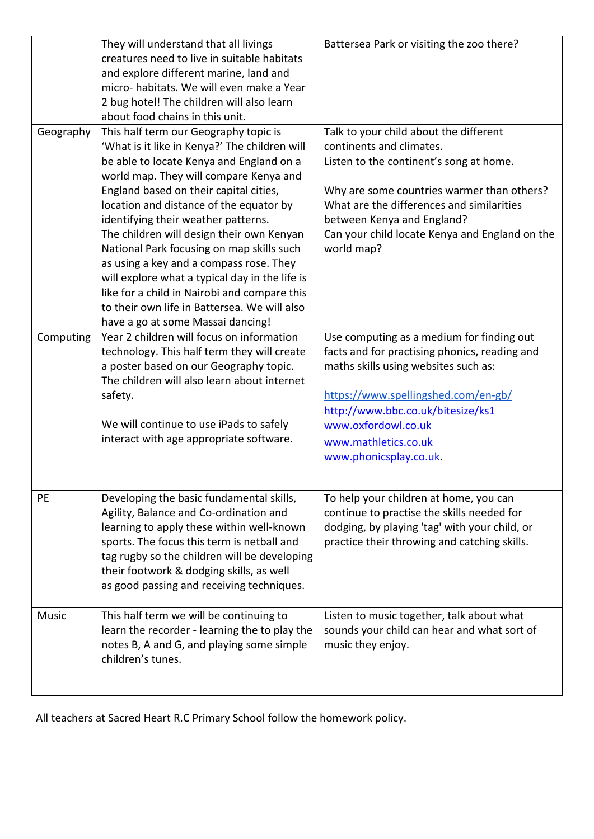|           | They will understand that all livings          | Battersea Park or visiting the zoo there?      |
|-----------|------------------------------------------------|------------------------------------------------|
|           | creatures need to live in suitable habitats    |                                                |
|           | and explore different marine, land and         |                                                |
|           | micro-habitats. We will even make a Year       |                                                |
|           | 2 bug hotel! The children will also learn      |                                                |
|           | about food chains in this unit.                |                                                |
| Geography | This half term our Geography topic is          | Talk to your child about the different         |
|           | 'What is it like in Kenya?' The children will  | continents and climates.                       |
|           | be able to locate Kenya and England on a       | Listen to the continent's song at home.        |
|           | world map. They will compare Kenya and         |                                                |
|           | England based on their capital cities,         | Why are some countries warmer than others?     |
|           | location and distance of the equator by        | What are the differences and similarities      |
|           | identifying their weather patterns.            | between Kenya and England?                     |
|           | The children will design their own Kenyan      | Can your child locate Kenya and England on the |
|           | National Park focusing on map skills such      | world map?                                     |
|           | as using a key and a compass rose. They        |                                                |
|           | will explore what a typical day in the life is |                                                |
|           | like for a child in Nairobi and compare this   |                                                |
|           | to their own life in Battersea. We will also   |                                                |
|           | have a go at some Massai dancing!              |                                                |
| Computing | Year 2 children will focus on information      | Use computing as a medium for finding out      |
|           | technology. This half term they will create    | facts and for practising phonics, reading and  |
|           | a poster based on our Geography topic.         | maths skills using websites such as:           |
|           | The children will also learn about internet    |                                                |
|           | safety.                                        | https://www.spellingshed.com/en-gb/            |
|           |                                                | http://www.bbc.co.uk/bitesize/ks1              |
|           | We will continue to use iPads to safely        | www.oxfordowl.co.uk                            |
|           | interact with age appropriate software.        | www.mathletics.co.uk                           |
|           |                                                | www.phonicsplay.co.uk.                         |
|           |                                                |                                                |
|           |                                                |                                                |
| PE        | Developing the basic fundamental skills,       | To help your children at home, you can         |
|           | Agility, Balance and Co-ordination and         | continue to practise the skills needed for     |
|           | learning to apply these within well-known      | dodging, by playing 'tag' with your child, or  |
|           | sports. The focus this term is netball and     | practice their throwing and catching skills.   |
|           | tag rugby so the children will be developing   |                                                |
|           | their footwork & dodging skills, as well       |                                                |
|           | as good passing and receiving techniques.      |                                                |
|           |                                                |                                                |
| Music     | This half term we will be continuing to        | Listen to music together, talk about what      |
|           | learn the recorder - learning the to play the  | sounds your child can hear and what sort of    |
|           | notes B, A and G, and playing some simple      | music they enjoy.                              |
|           | children's tunes.                              |                                                |
|           |                                                |                                                |
|           |                                                |                                                |

All teachers at Sacred Heart R.C Primary School follow the homework policy.